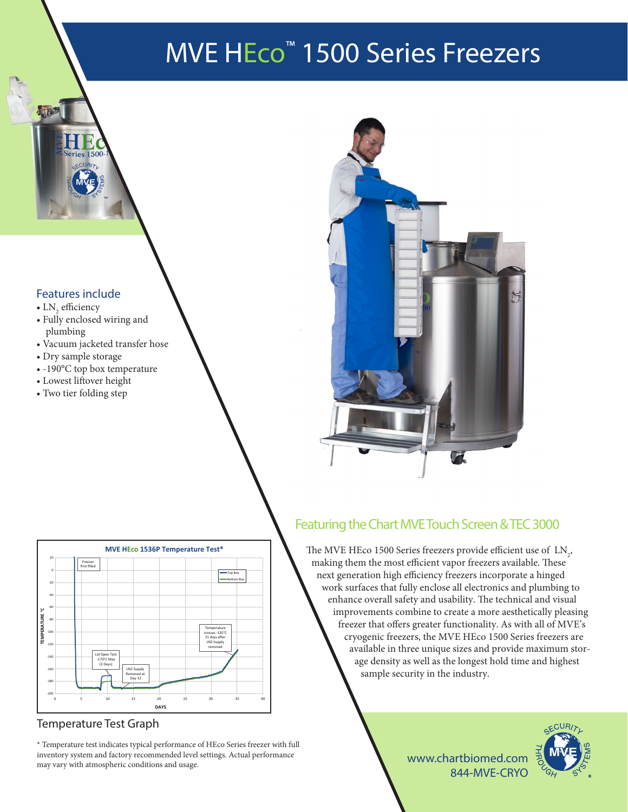# MVE HEco™ 1500 Series Freezers

### Features include

- $LN<sub>2</sub>$  efficiency
- Fully enclosed wiring and plumbing
- Vacuum jacketed transfer hose
- Dry sample storage
- -190°C top box temperature
- Lowest liftover height
- Two tier folding step



| 20          | Freezer<br>first filled |                                                   |                          |             |    |                               |                       |    |
|-------------|-------------------------|---------------------------------------------------|--------------------------|-------------|----|-------------------------------|-----------------------|----|
| $\mathbf 0$ |                         |                                                   |                          |             |    |                               | Top Box<br>Bottom Box |    |
| $-20$       |                         |                                                   |                          |             |    |                               |                       |    |
| $-40$       |                         |                                                   |                          |             |    |                               |                       |    |
| $-60$       |                         |                                                   |                          |             |    |                               |                       |    |
| $-80$       |                         |                                                   |                          |             |    |                               |                       |    |
| $-100$      |                         |                                                   |                          |             |    | Temperature<br>crosses -135°C |                       |    |
| $-120$      |                         |                                                   |                          |             |    | 21 days after<br>LN2 Supply   |                       |    |
|             |                         |                                                   |                          |             |    | removed                       |                       |    |
| $-140$      |                         | Lid Open Test<br>$-170^{\circ}$ C Max<br>(2 Days) |                          |             |    |                               |                       |    |
| $-160$      |                         |                                                   | LN2 Supply<br>Removed at |             |    |                               |                       |    |
| $-180$      |                         |                                                   | Day 13                   |             |    |                               |                       |    |
| $-200$      |                         |                                                   |                          |             |    |                               |                       |    |
| $\mathbf 0$ | 5                       | 10                                                | 15                       | 20          | 25 | 30                            | 35                    | 40 |
|             |                         |                                                   |                          | <b>DAYS</b> |    |                               |                       |    |

### Temperature Test Graph

\* Temperature test indicates typical performance of HEco Series freezer with full inventory system and factory recommended level settings. Actual performance may vary with atmospheric conditions and usage.

## Featuring the Chart MVE Touch Screen & TEC 3000

The MVE HEco 1500 Series freezers provide efficient use of  $\, \mathrm{LN}_2^{}$ making them the most efficient vapor freezers available. These next generation high efficiency freezers incorporate a hinged work surfaces that fully enclose all electronics and plumbing to enhance overall safety and usability. The technical and visual improvements combine to create a more aesthetically pleasing freezer that offers greater functionality. As with all of MVE's cryogenic freezers, the MVE HEco 1500 Series freezers are available in three unique sizes and provide maximum storage density as well as the longest hold time and highest sample security in the industry.

.CUR

www.chartbiomed.com 844-MVE-CRYO